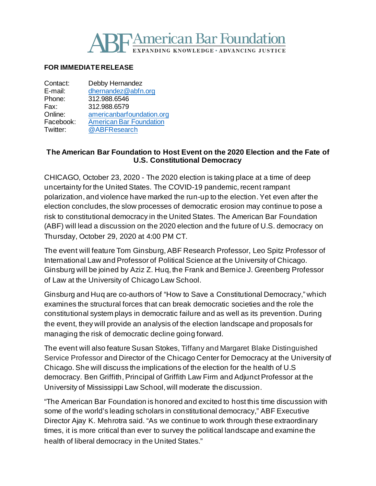# **SE American Bar Foundation NDING KNOWLEDGE · ADVANCING JUSTICE**

#### **FOR IMMEDIATE RELEASE**

| Contact:  | Debby Hernandez                |
|-----------|--------------------------------|
| E-mail:   | dhernandez@abfn.org            |
| Phone:    | 312.988.6546                   |
| Fax:      | 312.988.6579                   |
| Online:   | americanbarfoundation.org      |
| Facebook: | <b>American Bar Foundation</b> |
| Twitter:  | @ABFResearch                   |
|           |                                |

### **The American Bar Foundation to Host Event on the 2020 Election and the Fate of U.S. Constitutional Democracy**

CHICAGO, October 23, 2020 - The 2020 election is taking place at a time of deep uncertainty for the United States. The COVID-19 pandemic, recent rampant polarization, and violence have marked the run-up to the election. Yet even after the election concludes, the slow processes of democratic erosion may continue to pose a risk to constitutional democracy in the United States. The American Bar Foundation (ABF) will lead a discussion on the 2020 election and the future of U.S. democracy on Thursday, October 29, 2020 at 4:00 PM CT.

The event will feature Tom Ginsburg,ABF Research Professor, Leo Spitz Professor of International Law and Professor of Political Science at the University of Chicago. Ginsburg will be joined by Aziz Z. Huq, the Frank and Bernice J. Greenberg Professor of Law at the University of Chicago Law School.

Ginsburg and Huq are co-authors of "How to Save a Constitutional Democracy," which examines the structural forces that can break democratic societies and the role the constitutional system plays in democratic failure and as well as its prevention. During the event, they will provide an analysis of the election landscape and proposals for managing the risk of democratic decline going forward.

The event will also feature Susan Stokes, Tiffany and Margaret Blake Distinguished Service Professor and Director of the Chicago Center for Democracy at the University of Chicago.She will discuss the implications of the election for the health of U.S democracy. Ben Griffith, Principal of Griffith Law Firm and Adjunct Professor at the University of Mississippi Law School, will moderate the discussion.

"The American Bar Foundation is honored and excited to host this time discussion with some of the world's leading scholars in constitutional democracy," ABF Executive Director Ajay K. Mehrotra said. "As we continue to work through these extraordinary times, it is more critical than ever to survey the political landscape and examine the health of liberal democracy in the United States."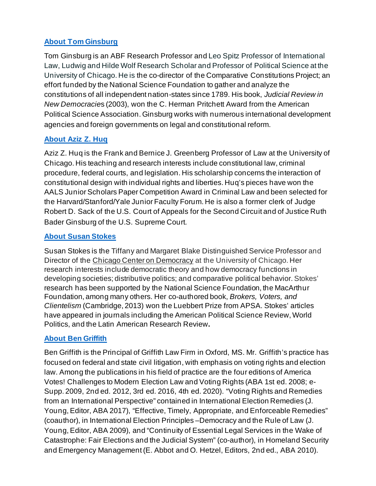## **[About Tom Ginsburg](http://www.americanbarfoundation.org/faculty/profile/29)**

Tom Ginsburg is an ABF Research Professor and Leo Spitz Professor of International Law, Ludwig and Hilde Wolf Research Scholar and Professor of Political Science at the University of Chicago. He is the co-director of the Comparative Constitutions Project; an effort funded by the National Science Foundation to gather and analyze the constitutions of all independent nation-states since 1789. His book, *Judicial Review in New Democracie*s (2003), won the C. Herman Pritchett Award from the American Political Science Association. Ginsburg works with numerous international development agencies and foreign governments on legal and constitutional reform.

## **[About Aziz Z. Huq](https://www.law.uchicago.edu/faculty/huq)**

Aziz Z. Huq is the Frank and Bernice J. Greenberg Professor of Law at the University of Chicago. His teaching and research interests include constitutional law, criminal procedure, federal courts, and legislation. His scholarship concerns the interaction of constitutional design with individual rights and liberties. Huq's pieces have won the AALS Junior Scholars Paper Competition Award in Criminal Law and been selected for the Harvard/Stanford/Yale Junior Faculty Forum. He is also a former clerk of Judge Robert D. Sack of the U.S. Court of Appeals for the Second Circuit and of Justice Ruth Bader Ginsburg of the U.S. Supreme Court.

## **[About Susan Stokes](https://political-science.uchicago.edu/directory/susan-stokes)**

Susan Stokes is the Tiffany and Margaret Blake Distinguished Service Professor and Director of the [Chicago Center on Democracy](http://r20.rs6.net/tn.jsp?f=001aJCjxlcZQ7KgonBetGsa1KWWpg0HkYqQoZN0KCmspK9o8IsjTK3Vse_ZL_qZMqcFxE68jLdE8Lgxbv7lCt6H_u1DUDGQqoCUeIZn3u42Ivgwj8C1o9J2Y8G98dFLRh10Mg02ZRxx333LOIuQGrQhZAbK_zcMuoJZ&c=ewJeQKd_TZ6NA1RO0XvG-7ok57NayHmksFdirR1QLj8YOEAlSLDVeA==&ch=N2QOP696SEFRrbAn9o0LiTLnF_2DwmwHRemyWFUP36mAO-yHXCQo2Q==) at the University of Chicago. Her research interests include democratic theory and how democracy functions in developing societies; distributive politics; and comparative political behavior. Stokes' research has been supported by the National Science Foundation, the MacArthur Foundation, among many others. Her co-authored book, *Brokers, Voters, and Clientelism* (Cambridge, 2013) won the Luebbert Prize from APSA. Stokes' articles have appeared in journals including the American Political Science Review, World Politics, and the Latin American Research Review**.**

## **[About Ben Griffith](http://www.glawms.com/about)**

Ben Griffith is the Principal of Griffith Law Firm in Oxford, MS. Mr. Griffith's practice has focused on federal and state civil litigation, with emphasis on voting rights and election law. Among the publications in his field of practice are the four editions of America Votes! Challenges to Modern Election Law and Voting Rights (ABA 1st ed. 2008; e-Supp. 2009, 2nd ed. 2012, 3rd ed. 2016, 4th ed. 2020). "Voting Rights and Remedies from an International Perspective" contained in International Election Remedies (J. Young, Editor, ABA 2017), "Effective, Timely, Appropriate, and Enforceable Remedies" (coauthor), in International Election Principles –Democracy and the Rule of Law (J. Young,Editor, ABA 2009), and "Continuity of Essential Legal Services in the Wake of Catastrophe: Fair Elections and the Judicial System" (co-author), in Homeland Security and Emergency Management (E. Abbot and O. Hetzel, Editors, 2nd ed., ABA 2010).